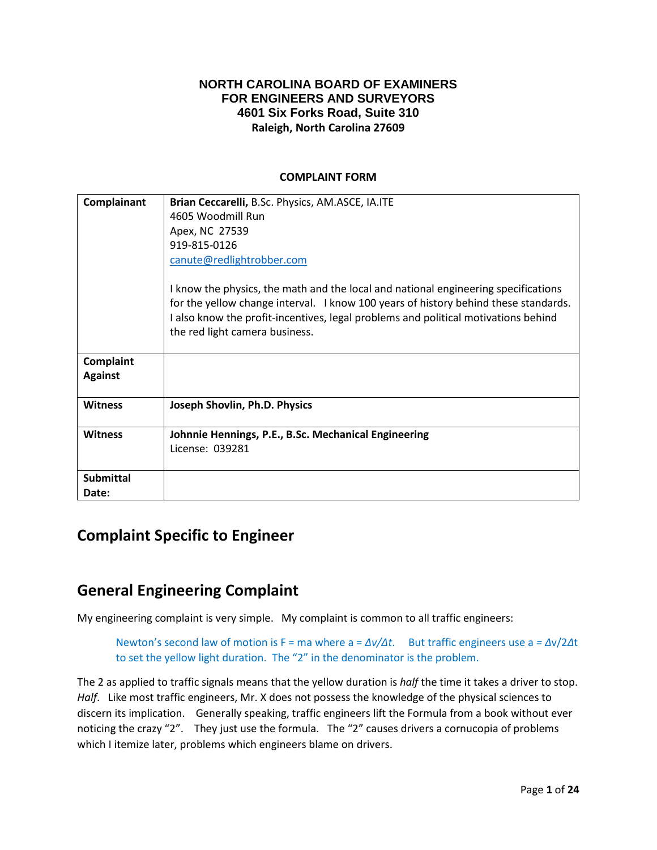### **NORTH CAROLINA BOARD OF EXAMINERS FOR ENGINEERS AND SURVEYORS 4601 Six Forks Road, Suite 310 Raleigh, North Carolina 27609**

### **COMPLAINT FORM**

| Complainant      | Brian Ceccarelli, B.Sc. Physics, AM.ASCE, IA.ITE                                                                                                                                                                                                                                                  |
|------------------|---------------------------------------------------------------------------------------------------------------------------------------------------------------------------------------------------------------------------------------------------------------------------------------------------|
|                  | 4605 Woodmill Run                                                                                                                                                                                                                                                                                 |
|                  | Apex, NC 27539                                                                                                                                                                                                                                                                                    |
|                  | 919-815-0126                                                                                                                                                                                                                                                                                      |
|                  | canute@redlightrobber.com                                                                                                                                                                                                                                                                         |
|                  | I know the physics, the math and the local and national engineering specifications<br>for the yellow change interval. I know 100 years of history behind these standards.<br>I also know the profit-incentives, legal problems and political motivations behind<br>the red light camera business. |
| Complaint        |                                                                                                                                                                                                                                                                                                   |
| <b>Against</b>   |                                                                                                                                                                                                                                                                                                   |
| <b>Witness</b>   | Joseph Shovlin, Ph.D. Physics                                                                                                                                                                                                                                                                     |
| <b>Witness</b>   | Johnnie Hennings, P.E., B.Sc. Mechanical Engineering                                                                                                                                                                                                                                              |
|                  | License: 039281                                                                                                                                                                                                                                                                                   |
| <b>Submittal</b> |                                                                                                                                                                                                                                                                                                   |
| Date:            |                                                                                                                                                                                                                                                                                                   |

## **Complaint Specific to Engineer**

## **General Engineering Complaint**

My engineering complaint is very simple. My complaint is common to all traffic engineers:

Newton's second law of motion is F = ma where a = *Δv/Δt*. But traffic engineers use a *= Δ*v/2*Δ*t to set the yellow light duration. The "2" in the denominator is the problem.

The 2 as applied to traffic signals means that the yellow duration is *half* the time it takes a driver to stop. *Half*. Like most traffic engineers, Mr. X does not possess the knowledge of the physical sciences to discern its implication. Generally speaking, traffic engineers lift the Formula from a book without ever noticing the crazy "2". They just use the formula. The "2" causes drivers a cornucopia of problems which I itemize later, problems which engineers blame on drivers.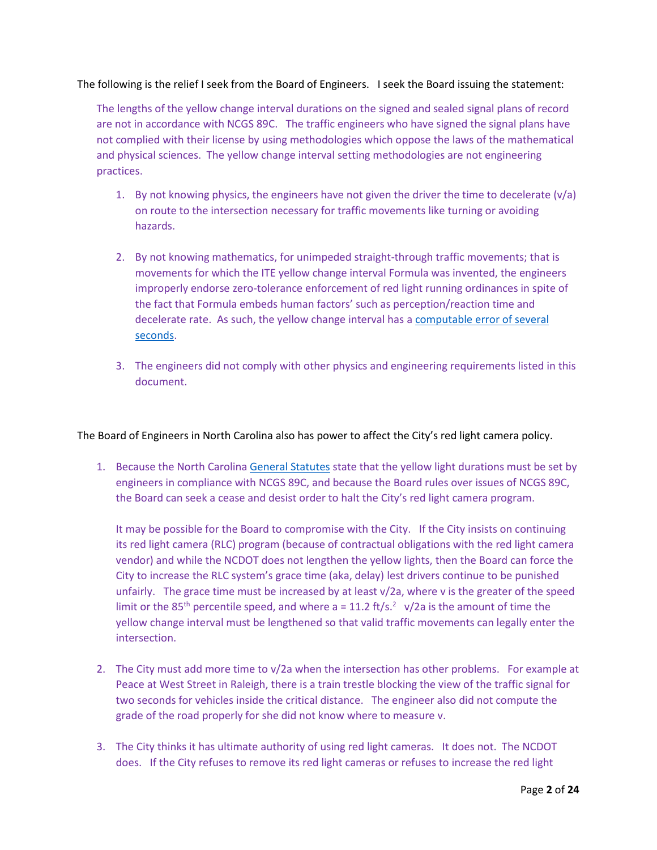### The following is the relief I seek from the Board of Engineers. I seek the Board issuing the statement:

The lengths of the yellow change interval durations on the signed and sealed signal plans of record are not in accordance with NCGS 89C. The traffic engineers who have signed the signal plans have not complied with their license by using methodologies which oppose the laws of the mathematical and physical sciences. The yellow change interval setting methodologies are not engineering practices.

- 1. By not knowing physics, the engineers have not given the driver the time to decelerate  $(v/a)$ on route to the intersection necessary for traffic movements like turning or avoiding hazards.
- 2. By not knowing mathematics, for unimpeded straight-through traffic movements; that is movements for which the ITE yellow change interval Formula was invented, the engineers improperly endorse zero-tolerance enforcement of red light running ordinances in spite of the fact that Formula embeds human factors' such as perception/reaction time and decelerate rate. As such, the yellow change interval has a [computable error of several](http://redlightrobber.com/red/links_pdf/Uncertainty-in-the-Yellow-Change-Interval.pdf)  [seconds.](http://redlightrobber.com/red/links_pdf/Uncertainty-in-the-Yellow-Change-Interval.pdf)
- 3. The engineers did not comply with other physics and engineering requirements listed in this document.

The Board of Engineers in North Carolina also has power to affect the City's red light camera policy.

1. Because the North Carolina [General Statutes](http://redlightrobber.com/red/links_pdf/NC-Session-Laws-Red-Light-Cameras.pdf) state that the yellow light durations must be set by engineers in compliance with NCGS 89C, and because the Board rules over issues of NCGS 89C, the Board can seek a cease and desist order to halt the City's red light camera program.

It may be possible for the Board to compromise with the City. If the City insists on continuing its red light camera (RLC) program (because of contractual obligations with the red light camera vendor) and while the NCDOT does not lengthen the yellow lights, then the Board can force the City to increase the RLC system's grace time (aka, delay) lest drivers continue to be punished unfairly. The grace time must be increased by at least v/2a, where v is the greater of the speed limit or the 85<sup>th</sup> percentile speed, and where  $a = 11.2$  ft/s.<sup>2</sup> v/2a is the amount of time the yellow change interval must be lengthened so that valid traffic movements can legally enter the intersection.

- 2. The City must add more time to  $v/2a$  when the intersection has other problems. For example at Peace at West Street in Raleigh, there is a train trestle blocking the view of the traffic signal for two seconds for vehicles inside the critical distance. The engineer also did not compute the grade of the road properly for she did not know where to measure v.
- 3. The City thinks it has ultimate authority of using red light cameras. It does not. The NCDOT does. If the City refuses to remove its red light cameras or refuses to increase the red light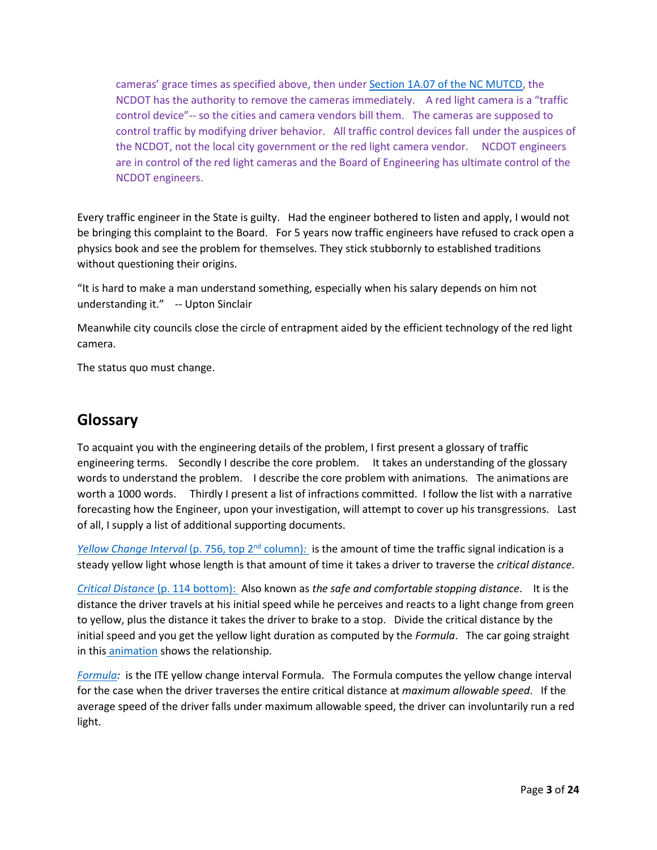cameras' grace times as specified above, then under [Section 1A.07 of the NC MUTCD,](http://redlightrobber.com/red/links_pdf/north-carolina/MUTCD-NC-2012.pdf) the NCDOT has the authority to remove the cameras immediately. A red light camera is a "traffic control device"-- so the cities and camera vendors bill them. The cameras are supposed to control traffic by modifying driver behavior. All traffic control devices fall under the auspices of the NCDOT, not the local city government or the red light camera vendor. NCDOT engineers are in control of the red light cameras and the Board of Engineering has ultimate control of the NCDOT engineers.

Every traffic engineer in the State is guilty. Had the engineer bothered to listen and apply, I would not be bringing this complaint to the Board. For 5 years now traffic engineers have refused to crack open a physics book and see the problem for themselves. They stick stubbornly to established traditions without questioning their origins.

"It is hard to make a man understand something, especially when his salary depends on him not understanding it." -- Upton Sinclair

Meanwhile city councils close the circle of entrapment aided by the efficient technology of the red light camera.

The status quo must change.

## **Glossary**

To acquaint you with the engineering details of the problem, I first present a glossary of traffic engineering terms. Secondly I describe the core problem. It takes an understanding of the glossary words to understand the problem. I describe the core problem with animations. The animations are worth a 1000 words. Thirdly I present a list of infractions committed. I follow the list with a narrative forecasting how the Engineer, upon your investigation, will attempt to cover up his transgressions. Last of all, I supply a list of additional supporting documents.

*[Yellow Change Interval](http://redlightrobber.com/red/links_pdf/Transportation-And-Traffic-Engineering-Handbook-1982.pdf)* (p. 756, top 2<sup>nd</sup> column): is the amount of time the traffic signal indication is a steady yellow light whose length is that amount of time it takes a driver to traverse the *critical distance*.

*Critical Distance* [\(p. 114 bottom\): A](http://redlightrobber.com/red/links_pdf/The-Problem-of-the-Amber-Signal-Light-in-Traffic-Flow.pdf)lso known as *the safe and comfortable stopping distance*. It is the distance the driver travels at his initial speed while he perceives and reacts to a light change from green to yellow, plus the distance it takes the driver to brake to a stop. Divide the critical distance by the initial speed and you get the yellow light duration as computed by the *Formula*. The car going straight in this [animation](http://youtu.be/heGjWQVcP9M) shows the relationship.

*[Formula:](http://redlightrobber.com/red/links_pdf/Traffic-Engineering-Handbook-2010-6th-Edition.pdf)* is the ITE yellow change interval Formula. The Formula computes the yellow change interval for the case when the driver traverses the entire critical distance at *maximum allowable speed*. If the average speed of the driver falls under maximum allowable speed, the driver can involuntarily run a red light.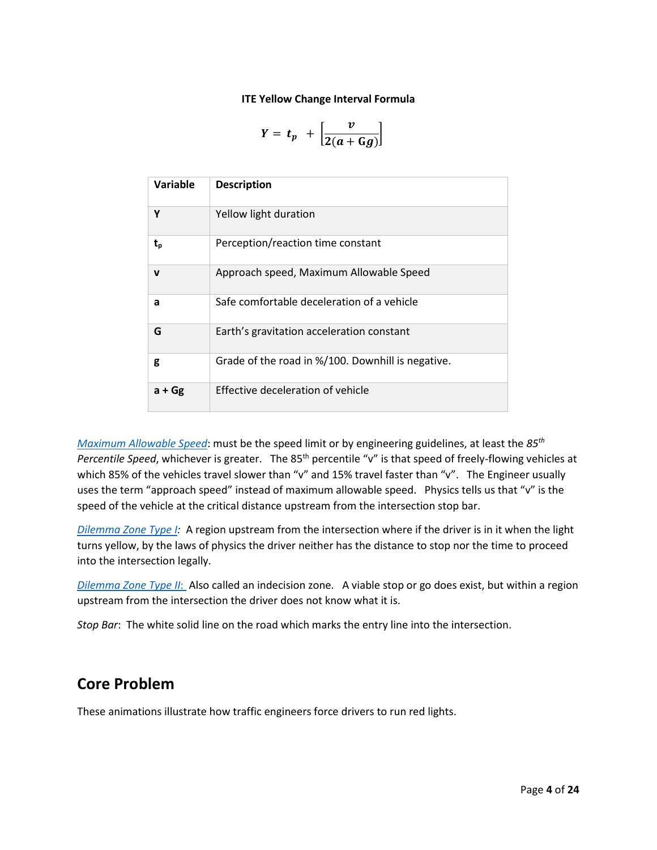#### **ITE Yellow Change Interval Formula**

$$
Y = t_p + \left[\frac{v}{2(a+Gg)}\right]
$$

| Variable | <b>Description</b>                                |
|----------|---------------------------------------------------|
| Y        | Yellow light duration                             |
| t,       | Perception/reaction time constant                 |
| v        | Approach speed, Maximum Allowable Speed           |
| a        | Safe comfortable deceleration of a vehicle        |
| G        | Earth's gravitation acceleration constant         |
| g        | Grade of the road in %/100. Downhill is negative. |
| $a + Gg$ | Effective deceleration of vehicle                 |

*[Maximum Allowable Speed](http://redlightrobber.com/red/links_pdf/Traffic-Engineering-Handbook-2010-6th-Edition-Approach-Speed.pdf)*: must be the speed limit or by engineering guidelines, at least the *85th* Percentile Speed, whichever is greater. The 85<sup>th</sup> percentile "v" is that speed of freely-flowing vehicles at which 85% of the vehicles travel slower than "v" and 15% travel faster than "v". The Engineer usually uses the term "approach speed" instead of maximum allowable speed. Physics tells us that "v" is the speed of the vehicle at the critical distance upstream from the intersection stop bar.

*[Dilemma Zone Type I:](http://redlightrobber.com/red/links_pdf/The-Dilemma-with-Dilemma-Zones.pdf)* A region upstream from the intersection where if the driver is in it when the light turns yellow, by the laws of physics the driver neither has the distance to stop nor the time to proceed into the intersection legally.

*[Dilemma Zone Type II](http://redlightrobber.com/red/links_pdf/The-Dilemma-with-Dilemma-Zones.pdf)*: Also called an indecision zone. A viable stop or go does exist, but within a region upstream from the intersection the driver does not know what it is.

*Stop Bar*: The white solid line on the road which marks the entry line into the intersection.

## **Core Problem**

These animations illustrate how traffic engineers force drivers to run red lights.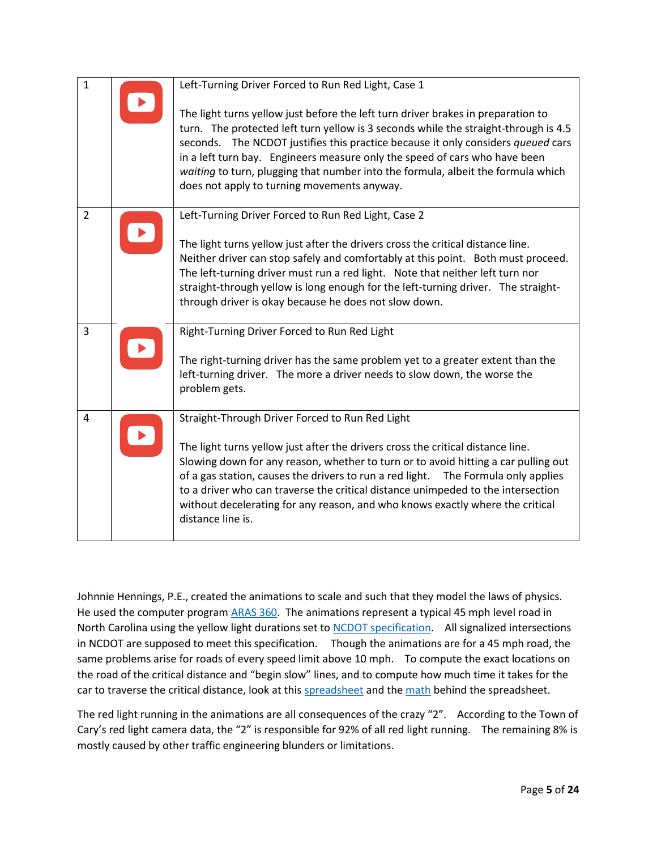| $\mathbf{1}$   | Left-Turning Driver Forced to Run Red Light, Case 1                                                                                                                                                                                                                                                                                                                                                                                                                                                        |
|----------------|------------------------------------------------------------------------------------------------------------------------------------------------------------------------------------------------------------------------------------------------------------------------------------------------------------------------------------------------------------------------------------------------------------------------------------------------------------------------------------------------------------|
|                | The light turns yellow just before the left turn driver brakes in preparation to<br>turn. The protected left turn yellow is 3 seconds while the straight-through is 4.5<br>seconds. The NCDOT justifies this practice because it only considers queued cars<br>in a left turn bay. Engineers measure only the speed of cars who have been<br>waiting to turn, plugging that number into the formula, albeit the formula which<br>does not apply to turning movements anyway.                               |
| $\overline{2}$ | Left-Turning Driver Forced to Run Red Light, Case 2<br>The light turns yellow just after the drivers cross the critical distance line.<br>Neither driver can stop safely and comfortably at this point. Both must proceed.<br>The left-turning driver must run a red light. Note that neither left turn nor<br>straight-through yellow is long enough for the left-turning driver. The straight-<br>through driver is okay because he does not slow down.                                                  |
| 3              | Right-Turning Driver Forced to Run Red Light<br>The right-turning driver has the same problem yet to a greater extent than the<br>left-turning driver. The more a driver needs to slow down, the worse the<br>problem gets.                                                                                                                                                                                                                                                                                |
| $\overline{a}$ | Straight-Through Driver Forced to Run Red Light<br>The light turns yellow just after the drivers cross the critical distance line.<br>Slowing down for any reason, whether to turn or to avoid hitting a car pulling out<br>of a gas station, causes the drivers to run a red light.<br>The Formula only applies<br>to a driver who can traverse the critical distance unimpeded to the intersection<br>without decelerating for any reason, and who knows exactly where the critical<br>distance line is. |

Johnnie Hennings, P.E., created the animations to scale and such that they model the laws of physics. He used the computer program **ARAS 360**. The animations represent a typical 45 mph level road in North Carolina using the yellow light durations set to [NCDOT specification.](http://redlightrobber.com/red/links_pdf/north-carolina/NCDOT-Yellow-Change-Interval-Spec-Sheet-08-2012.pdf) All signalized intersections in NCDOT are supposed to meet this specification. Though the animations are for a 45 mph road, the same problems arise for roads of every speed limit above 10 mph. To compute the exact locations on the road of the critical distance and "begin slow" lines, and to compute how much time it takes for the car to traverse the critical distance, look at thi[s spreadsheet](http://redlightrobber.com/red/yellow-time-table/yellow-time-table.htm) and the [math](http://redlightrobber.com/red/links_pdf/Short-Yellow.pdf) behind the spreadsheet.

The red light running in the animations are all consequences of the crazy "2". According to the Town of Cary's red light camera data, the "2" is responsible for 92% of all red light running. The remaining 8% is mostly caused by other traffic engineering blunders or limitations.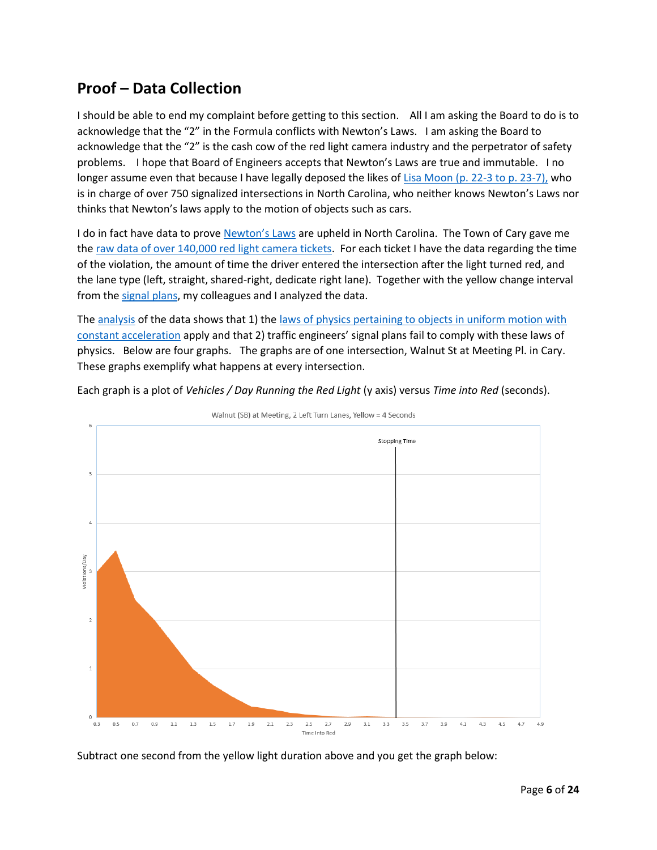# **Proof – Data Collection**

I should be able to end my complaint before getting to this section. All I am asking the Board to do is to acknowledge that the "2" in the Formula conflicts with Newton's Laws. I am asking the Board to acknowledge that the "2" is the cash cow of the red light camera industry and the perpetrator of safety problems. I hope that Board of Engineers accepts that Newton's Laws are true and immutable. I no longer assume even that because I have legally deposed the likes of Lisa Moon [\(p. 22-3 to p. 23-7\),](http://redlightrobber.com/red/links_pdf/north-carolina/Lisa-Moon-Deposition-with-Exhibits-2012-10-09.pdf) who is in charge of over 750 signalized intersections in North Carolina, who neither knows Newton's Laws nor thinks that Newton's laws apply to the motion of objects such as cars.

I do in fact have data to prove [Newton's Laws](http://redlightrobber.com/red/links_pdf/Isaac-Newton-Principia-English-1846.pdf) are upheld in North Carolina. The Town of Cary gave me th[e raw data of over 140,000 red light camera tickets.](http://redlightrobber.com/red/links_pdf/north-carolina/Red-Light-Camera-Data-Cary-All-2013-10-17.zip) For each ticket I have the data regarding the time of the violation, the amount of time the driver entered the intersection after the light turned red, and the lane type (left, straight, shared-right, dedicate right lane). Together with the yellow change interval from th[e signal plans,](http://redlightrobber.com/red/links_pdf/RLCSignalPlans.pdf) my colleagues and I analyzed the data.

The [analysis](http://redlightrobber.com/red/links_pdf/north-carolina/Cary-Time-Into-Red-Histograms.zip) of the data shows that 1) the laws of physics pertaining to objects in uniform motion with [constant acceleration](http://redlightrobber.com/red/links_pdf/Freshman-Physics-Kinematic-Equations-of-Motion.pdf) apply and that 2) traffic engineers' signal plans fail to comply with these laws of physics. Below are four graphs. The graphs are of one intersection, Walnut St at Meeting Pl. in Cary. These graphs exemplify what happens at every intersection.

Each graph is a plot of *Vehicles / Day Running the Red Light* (y axis) versus *Time into Red* (seconds).



Walnut (SB) at Meeting, 2 Left Turn Lanes, Yellow = 4 Seconds

Subtract one second from the yellow light duration above and you get the graph below: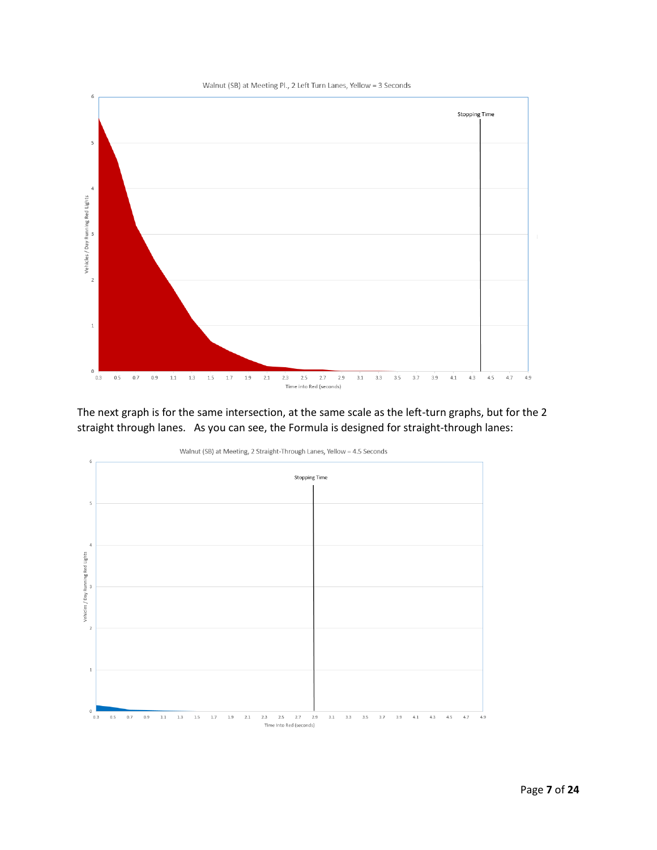

The next graph is for the same intersection, at the same scale as the left-turn graphs, but for the 2 straight through lanes. As you can see, the Formula is designed for straight-through lanes:



Walnut (SB) at Meeting, 2 Straight-Through Lanes, Yellow = 4.5 Seconds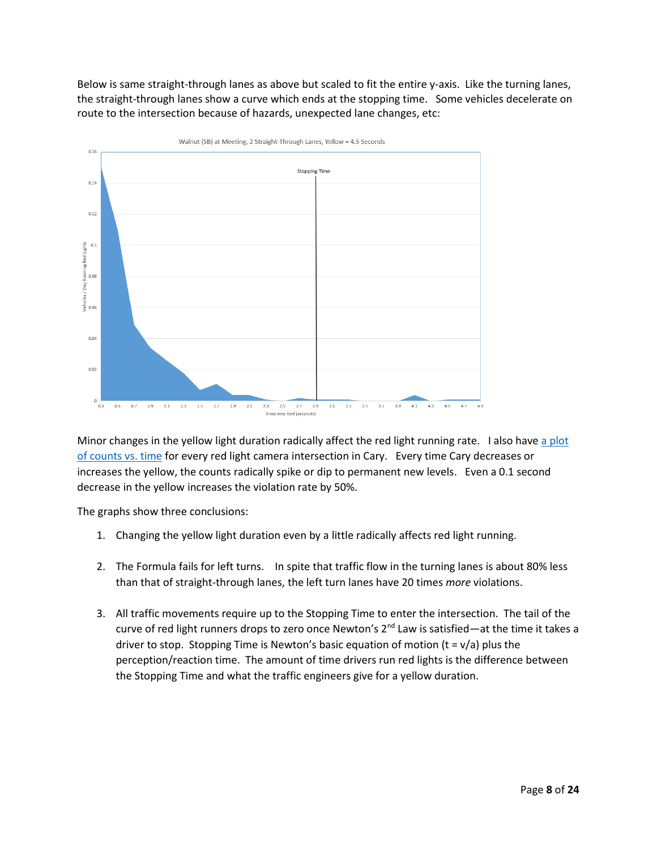Below is same straight-through lanes as above but scaled to fit the entire y-axis. Like the turning lanes, the straight-through lanes show a curve which ends at the stopping time. Some vehicles decelerate on route to the intersection because of hazards, unexpected lane changes, etc:



Minor changes in the yellow light duration radically affect the red light running rate. I also have a plot [of counts vs. time](hthttp://redlightrobber.com/red/links_pdf/north-carolina/Cary-Citations-By-Intersection.pdf) for every red light camera intersection in Cary. Every time Cary decreases or increases the yellow, the counts radically spike or dip to permanent new levels. Even a 0.1 second decrease in the yellow increases the violation rate by 50%.

The graphs show three conclusions:

- 1. Changing the yellow light duration even by a little radically affects red light running.
- 2. The Formula fails for left turns. In spite that traffic flow in the turning lanes is about 80% less than that of straight-through lanes, the left turn lanes have 20 times *more* violations.
- 3. All traffic movements require up to the Stopping Time to enter the intersection. The tail of the curve of red light runners drops to zero once Newton's  $2^{nd}$  Law is satisfied—at the time it takes a driver to stop. Stopping Time is Newton's basic equation of motion  $(t = v/a)$  plus the perception/reaction time. The amount of time drivers run red lights is the difference between the Stopping Time and what the traffic engineers give for a yellow duration.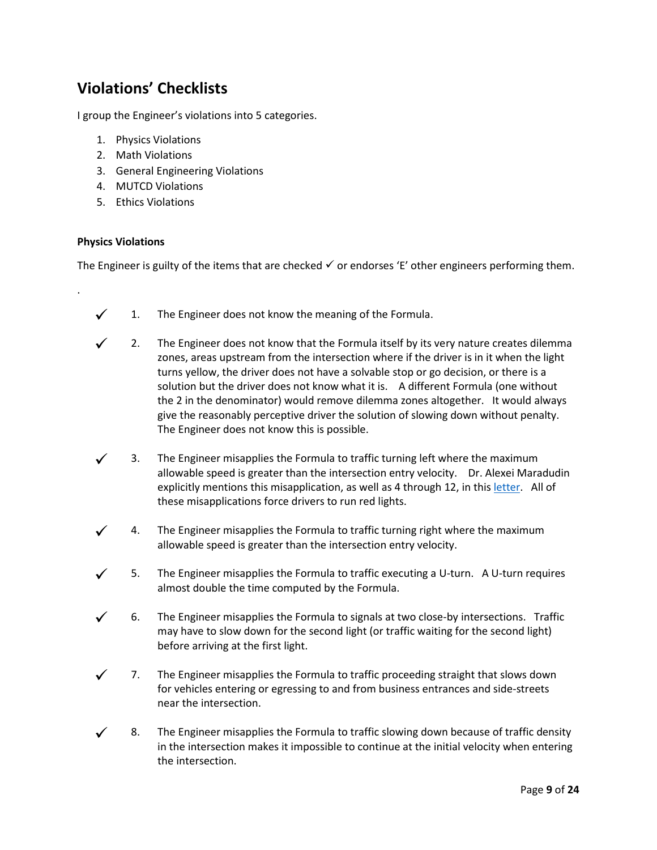# **Violations' Checklists**

I group the Engineer's violations into 5 categories.

- 1. Physics Violations
- 2. Math Violations
- 3. General Engineering Violations
- 4. MUTCD Violations
- 5. Ethics Violations

#### **Physics Violations**

.

The Engineer is guilty of the items that are checked  $\checkmark$  or endorses 'E' other engineers performing them.

- $\checkmark$  1. The Engineer does not know the meaning of the Formula.
- 2. The Engineer does not know that the Formula itself by its very nature creates dilemma zones, areas upstream from the intersection where if the driver is in it when the light turns yellow, the driver does not have a solvable stop or go decision, or there is a solution but the driver does not know what it is. A different Formula (one without the 2 in the denominator) would remove dilemma zones altogether. It would always give the reasonably perceptive driver the solution of slowing down without penalty. The Engineer does not know this is possible.
- 3. The Engineer misapplies the Formula to traffic turning left where the maximum allowable speed is greater than the intersection entry velocity. Dr. Alexei Maradudin explicitly mentions this misapplication, as well as 4 through 12, in this [letter.](http://redlightrobber.com/red/links_pdf/Yellow-Change-Interval-Dos-and-Donts-Alexei-Maradudin.pdf) All of these misapplications force drivers to run red lights.
- 4. The Engineer misapplies the Formula to traffic turning right where the maximum allowable speed is greater than the intersection entry velocity.
- 5. The Engineer misapplies the Formula to traffic executing a U-turn. A U-turn requires almost double the time computed by the Formula.
- 6. The Engineer misapplies the Formula to signals at two close-by intersections. Traffic may have to slow down for the second light (or traffic waiting for the second light) before arriving at the first light.
- 7. The Engineer misapplies the Formula to traffic proceeding straight that slows down for vehicles entering or egressing to and from business entrances and side-streets near the intersection.
- 8. The Engineer misapplies the Formula to traffic slowing down because of traffic density in the intersection makes it impossible to continue at the initial velocity when entering the intersection.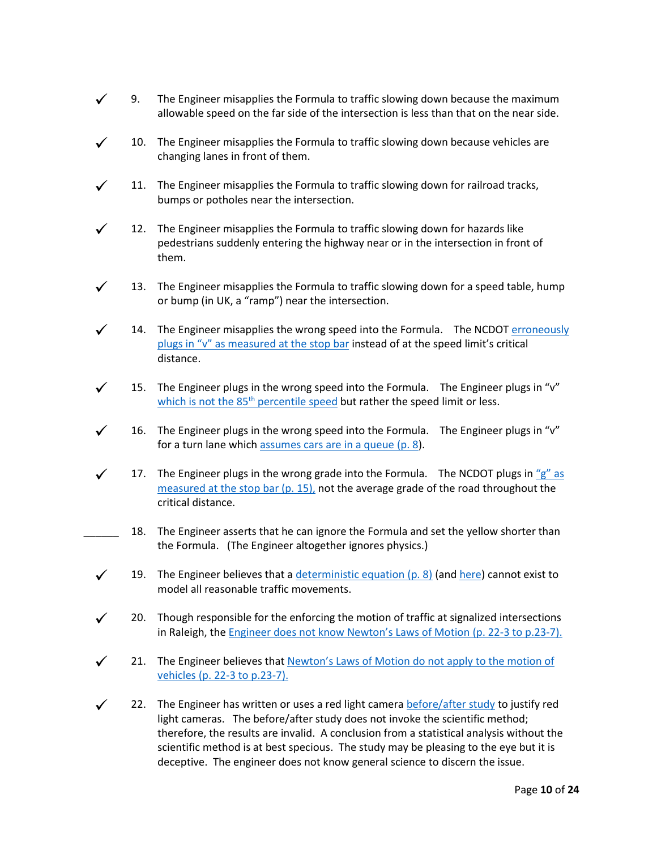- $\checkmark$  9. The Engineer misapplies the Formula to traffic slowing down because the maximum allowable speed on the far side of the intersection is less than that on the near side.
- $\checkmark$  10. The Engineer misapplies the Formula to traffic slowing down because vehicles are changing lanes in front of them.
- $\checkmark$  11. The Engineer misapplies the Formula to traffic slowing down for railroad tracks, bumps or potholes near the intersection.
- $\checkmark$  12. The Engineer misapplies the Formula to traffic slowing down for hazards like pedestrians suddenly entering the highway near or in the intersection in front of them.
- $\checkmark$  13. The Engineer misapplies the Formula to traffic slowing down for a speed table, hump or bump (in UK, a "ramp") near the intersection.
- $\checkmark$  14. The Engineer misapplies the wrong speed into the Formula. The NCDOT erroneously pl[ugs in "v" as measured at the stop bar](http://redlightrobber.com/red/links_pdf/NCSITE-Task-Force-Records-for-NCDOT-Change-Clearance-Intervals.pdf) instead of at the speed limit's critical distance.
- $\checkmark$  15. The Engineer plugs in the wrong speed into the Formula. The Engineer plugs in "v" [which is not the 85](http://redlightrobber.com/red/links_pdf/north-carolina/NCDOT-Response-To-ABC11-Maradudin.pdf)<sup>th</sup> percentile speed but rather the speed limit or less.
- $\checkmark$  16. The Engineer plugs in the wrong speed into the Formula. The Engineer plugs in "v" for a turn lane which [assumes cars are in a queue](http://redlightrobber.com/red/links_pdf/NCSITE-Task-Force-Records-for-NCDOT-Change-Clearance-Intervals.pdf) (p. 8).
- $\checkmark$  17. The Engineer plugs in the wrong grade into the Formula. The NCDOT plugs in "g" as [measured at the stop bar](http://redlightrobber.com/red/links_pdf/signal-plans/raleigh/Intersection-Analysis-Peace-at-West.pdf) (p. 15), not the average grade of the road throughout the critical distance.
- 18. The Engineer asserts that he can ignore the Formula and set the yellow shorter than the Formula. (The Engineer altogether ignores physics.)
- 19. The Engineer believes that [a deterministic equation](http://redlightrobber.com/red/links_pdf/NCSITE-Task-Force-Records-for-NCDOT-Change-Clearance-Intervals.pdf) (p. 8) (and [here\)](http://redlightrobber.com/red/links_pdf/north-carolina/NCDOT-Response-To-ABC11-Maradudin.pdf) cannot exist to model all reasonable traffic movements.
- $\checkmark$  20. Though responsible for the enforcing the motion of traffic at signalized intersections in Raleigh, the [Engineer does not know Newton's Laws of Motion](http://redlightrobber.com/red/links_pdf/north-carolina/Lisa-Moon-Deposition-with-Exhibits-2012-10-09.pdf) (p. 22-3 to p.23-7).
- $\checkmark$  21. The Engineer believes that Newton's Laws of Motion do not apply to the motion of vehicles [\(p. 22-3 to p.23-7\).](http://redlightrobber.com/red/links_pdf/north-carolina/Lisa-Moon-Deposition-with-Exhibits-2012-10-09.pdf)
- $\checkmark$  22. The Engineer has written or uses a red light camera [before/after study](http://redlightrobber.com/red/links_pdf/Red-Light-Camera-Before-After-Studies-Deceit.pdf) to justify red light cameras. The before/after study does not invoke the scientific method; therefore, the results are invalid. A conclusion from a statistical analysis without the scientific method is at best specious. The study may be pleasing to the eye but it is deceptive. The engineer does not know general science to discern the issue.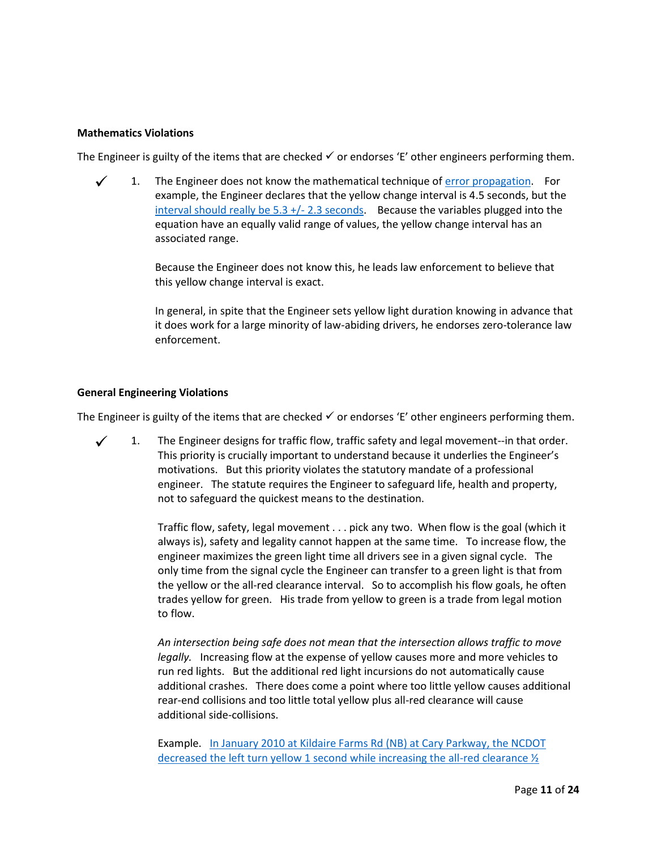#### **Mathematics Violations**

The Engineer is guilty of the items that are checked  $\checkmark$  or endorses 'E' other engineers performing them.

 1. The Engineer does not know the mathematical technique of [error propagation.](http://lectureonline.cl.msu.edu/~mmp/labs/error/e2.htm) For example, the Engineer declares that the yellow change interval is 4.5 seconds, but the interval should really be  $5.3 + / - 2.3$  seconds. Because the variables plugged into the equation have an equally valid range of values, the yellow change interval has an associated range.

> Because the Engineer does not know this, he leads law enforcement to believe that this yellow change interval is exact.

In general, in spite that the Engineer sets yellow light duration knowing in advance that it does work for a large minority of law-abiding drivers, he endorses zero-tolerance law enforcement.

#### **General Engineering Violations**

The Engineer is guilty of the items that are checked  $\checkmark$  or endorses 'E' other engineers performing them.

 $\checkmark$  1. The Engineer designs for traffic flow, traffic safety and legal movement--in that order. This priority is crucially important to understand because it underlies the Engineer's motivations. But this priority violates the statutory mandate of a professional engineer. The statute requires the Engineer to safeguard life, health and property, not to safeguard the quickest means to the destination.

> Traffic flow, safety, legal movement . . . pick any two. When flow is the goal (which it always is), safety and legality cannot happen at the same time. To increase flow, the engineer maximizes the green light time all drivers see in a given signal cycle. The only time from the signal cycle the Engineer can transfer to a green light is that from the yellow or the all-red clearance interval. So to accomplish his flow goals, he often trades yellow for green. His trade from yellow to green is a trade from legal motion to flow.

> *An intersection being safe does not mean that the intersection allows traffic to move legally.* Increasing flow at the expense of yellow causes more and more vehicles to run red lights. But the additional red light incursions do not automatically cause additional crashes. There does come a point where too little yellow causes additional rear-end collisions and too little total yellow plus all-red clearance will cause additional side-collisions.

Example. In January 2010 [at Kildaire Farms Rd \(NB\) at Cary Parkway, the NCDOT](http://redlightrobber.com/red/links_pdf/north-carolina/Cary-Citations-By-Intersection.pdf) [decreased the left turn yellow 1 second while increasing the all-red](http://redlightrobber.com/red/links_pdf/north-carolina/Cary-Citations-By-Intersection.pdf) clearance ½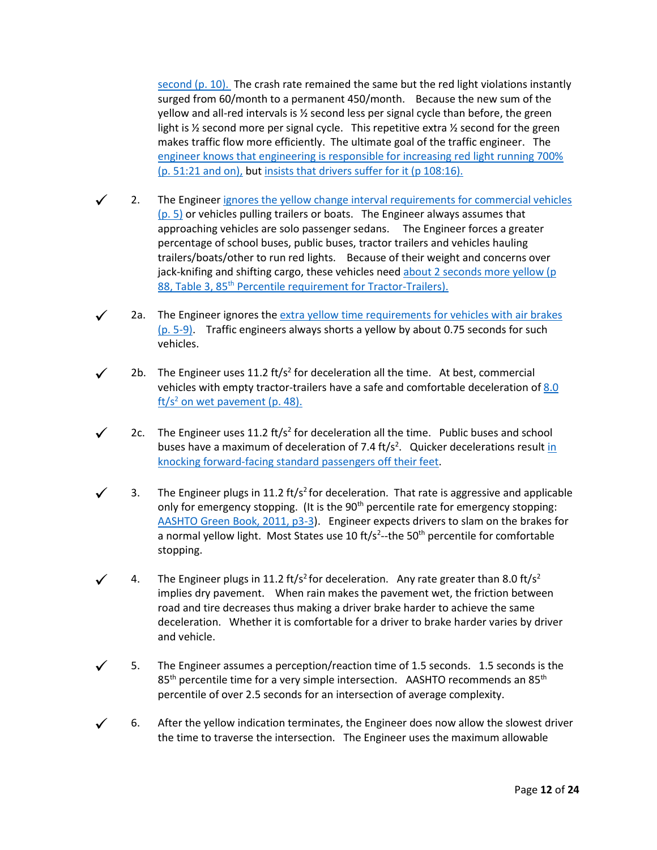[second](http://redlightrobber.com/red/links_pdf/north-carolina/Cary-Citations-By-Intersection.pdf)  $(p. 10)$ . The crash rate remained the same but the red light violations instantly surged from 60/month to a permanent 450/month. Because the new sum of the yellow and all-red intervals is ½ second less per signal cycle than before, the green light is ½ second more per signal cycle. This repetitive extra ½ second for the green makes traffic flow more efficiently. The ultimate goal of the traffic engineer. The [engineer knows that engineering is responsible for increasing](http://redlightrobber.com/red/links_pdf/north-carolina/Greg-Fuller-Deposition-2012-10-15.pdf) red light running 700% [\(p. 51:21 and on\),](http://redlightrobber.com/red/links_pdf/north-carolina/Greg-Fuller-Deposition-2012-10-15.pdf) but [insists that drivers suffer for it \(p 108:16\).](http://redlightrobber.com/red/links_pdf/north-carolina/Joseph-Hummer-Deposition-with-Errata-2012-10-17.pdf)

- 2. The Engineer ignores [the yellow change interval requirements for commercial vehicles](http://redlightrobber.com/red/links_pdf/NCSITE-Task-Force-Records-for-NCDOT-Change-Clearance-Intervals.pdf) [\(p. 5\)](http://redlightrobber.com/red/links_pdf/NCSITE-Task-Force-Records-for-NCDOT-Change-Clearance-Intervals.pdf) or vehicles pulling trailers or boats. The Engineer always assumes that approaching vehicles are solo passenger sedans. The Engineer forces a greater percentage of school buses, public buses, tractor trailers and vehicles hauling trailers/boats/other to run red lights. Because of their weight and concerns over jack-knifing and shifting cargo, these vehicles need [about 2 seconds](http://redlightrobber.com/red/links_pdf/Dilemma-Zone-Driver-Behavior-as-a-Function-of-Vehicle-Type-Time-of-Day-and-Platooning.pdf) more yellow (p 88, Table 3, 85<sup>th</sup> [Percentile requirement for Tractor-Trailers\).](http://redlightrobber.com/red/links_pdf/Dilemma-Zone-Driver-Behavior-as-a-Function-of-Vehicle-Type-Time-of-Day-and-Platooning.pdf)
- $\checkmark$  2a. The Engineer ignores the [extra yellow time requirements for vehicles with air brakes](http://redlightrobber.com/red/links_pdf/north-carolina/NC-Commerical-Drivers-License-Manual.pdf) [\(p. 5-9\).](http://redlightrobber.com/red/links_pdf/north-carolina/NC-Commerical-Drivers-License-Manual.pdf) Traffic engineers always shorts a yellow by about 0.75 seconds for such vehicles.
- $\checkmark$  2b. The Engineer uses 11.2 ft/s<sup>2</sup> for deceleration all the time. At best, commercial vehicles with empty tractor-trailers have a safe and comfortable deceleration o[f 8.0](http://redlightrobber.com/red/links_pdf/Commercial-Truck-Deceleration-Rates-NCHRP-RPT-505.pdf)   $\frac{\text{ft}}{\text{s}^2}$  [on wet pavement](http://redlightrobber.com/red/links_pdf/Commercial-Truck-Deceleration-Rates-NCHRP-RPT-505.pdf) (p. 48).
- $\checkmark$  2c. The Engineer uses 11.2 ft/s<sup>2</sup> for deceleration all the time. Public buses and school buses have a maximum of deceleration of 7.4 ft/s<sup>2</sup>. Quicker decelerations result *in* [knocking forward-facing standard passengers off their feet.](http://redlightrobber.com/red/links_pdf/Transit-Vehicles-Deceleration.pdf)
- 3. The Engineer plugs in 11.2 ft/s<sup>2</sup> for deceleration. That rate is aggressive and applicable only for emergency stopping. (It is the 90<sup>th</sup> percentile rate for emergency stopping: [AASHTO Green Book, 2011, p3-3\)](http://redlightrobber.com/red/links_pdf/AASHTO-Perception-Reaction-Times-2011.pdf). Engineer expects drivers to slam on the brakes for a normal yellow light. Most States use 10 ft/s<sup>2</sup>--the 50<sup>th</sup> percentile for comfortable stopping.
- 4. The Engineer plugs in 11.2 ft/s<sup>2</sup> for deceleration. Any rate greater than 8.0 ft/s<sup>2</sup> implies dry pavement. When rain makes the pavement wet, the friction between road and tire decreases thus making a driver brake harder to achieve the same deceleration. Whether it is comfortable for a driver to brake harder varies by driver and vehicle.
- 5. The Engineer assumes a perception/reaction time of 1.5 seconds. 1.5 seconds is the  $85<sup>th</sup>$  percentile time for a very simple intersection. AASHTO recommends an  $85<sup>th</sup>$ percentile of over 2.5 seconds for an intersection of average complexity.
- 6. After the yellow indication terminates, the Engineer does now allow the slowest driver the time to traverse the intersection. The Engineer uses the maximum allowable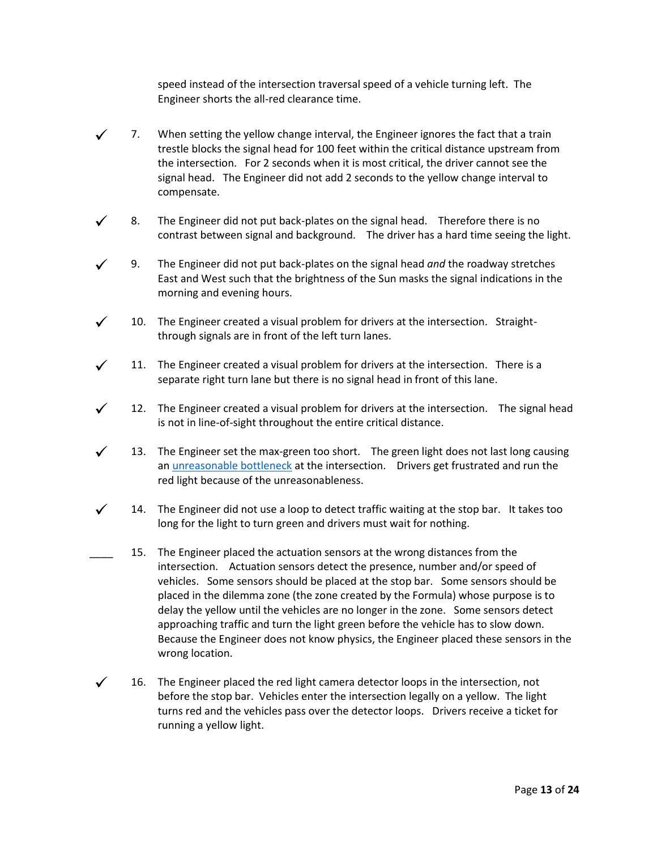speed instead of the intersection traversal speed of a vehicle turning left. The Engineer shorts the all-red clearance time.

- 7. When setting the yellow change interval, the Engineer ignores the fact that a train trestle blocks the signal head for 100 feet within the critical distance upstream from the intersection. For 2 seconds when it is most critical, the driver cannot see the signal head. The Engineer did not add 2 seconds to the yellow change interval to compensate.
- 8. The Engineer did not put back-plates on the signal head. Therefore there is no contrast between signal and background. The driver has a hard time seeing the light.
- 9. The Engineer did not put back-plates on the signal head *and* the roadway stretches East and West such that the brightness of the Sun masks the signal indications in the morning and evening hours.
- 10. The Engineer created a visual problem for drivers at the intersection. Straightthrough signals are in front of the left turn lanes.
- 11. The Engineer created a visual problem for drivers at the intersection. There is a separate right turn lane but there is no signal head in front of this lane.
- $\checkmark$  12. The Engineer created a visual problem for drivers at the intersection. The signal head is not in line-of-sight throughout the entire critical distance.
- $\checkmark$  13. The Engineer set the max-green too short. The green light does not last long causing an *unreasonable bottleneck* at the intersection. Drivers get frustrated and run the red light because of the unreasonableness.
- $\checkmark$  14. The Engineer did not use a loop to detect traffic waiting at the stop bar. It takes too long for the light to turn green and drivers must wait for nothing.
	- 15. The Engineer placed the actuation sensors at the wrong distances from the intersection. Actuation sensors detect the presence, number and/or speed of vehicles. Some sensors should be placed at the stop bar. Some sensors should be placed in the dilemma zone (the zone created by the Formula) whose purpose is to delay the yellow until the vehicles are no longer in the zone. Some sensors detect approaching traffic and turn the light green before the vehicle has to slow down. Because the Engineer does not know physics, the Engineer placed these sensors in the wrong location.
- 16. The Engineer placed the red light camera detector loops in the intersection, not before the stop bar. Vehicles enter the intersection legally on a yellow. The light turns red and the vehicles pass over the detector loops. Drivers receive a ticket for running a yellow light.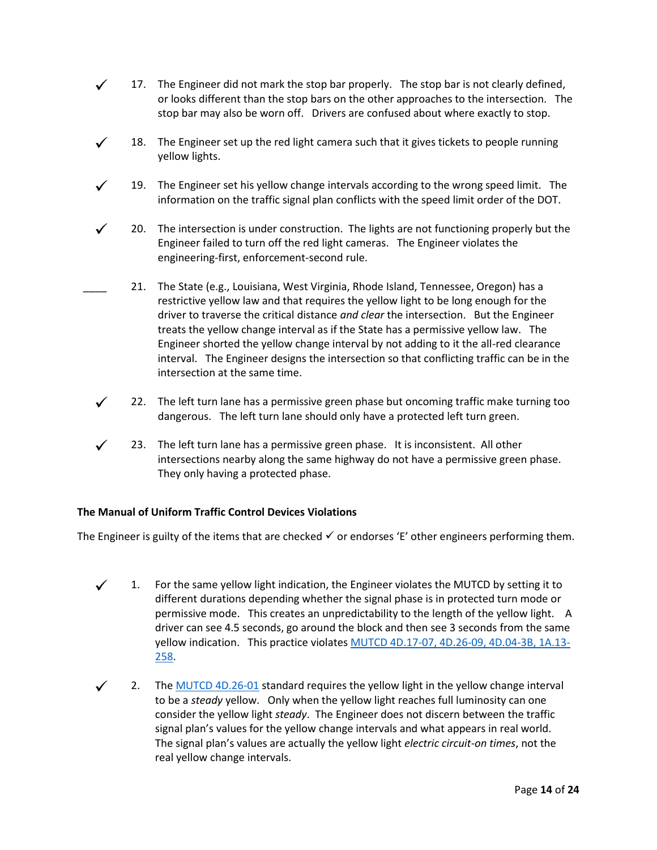- $\checkmark$  17. The Engineer did not mark the stop bar properly. The stop bar is not clearly defined, or looks different than the stop bars on the other approaches to the intersection. The stop bar may also be worn off. Drivers are confused about where exactly to stop.
- $\checkmark$  18. The Engineer set up the red light camera such that it gives tickets to people running yellow lights.
- $\checkmark$  19. The Engineer set his yellow change intervals according to the wrong speed limit. The information on the traffic signal plan conflicts with the speed limit order of the DOT.
- 20. The intersection is under construction. The lights are not functioning properly but the Engineer failed to turn off the red light cameras. The Engineer violates the engineering-first, enforcement-second rule.
- 21. The State (e.g., Louisiana, West Virginia, Rhode Island, Tennessee, Oregon) has a restrictive yellow law and that requires the yellow light to be long enough for the driver to traverse the critical distance *and clear* the intersection. But the Engineer treats the yellow change interval as if the State has a permissive yellow law. The Engineer shorted the yellow change interval by not adding to it the all-red clearance interval. The Engineer designs the intersection so that conflicting traffic can be in the intersection at the same time.
- 22. The left turn lane has a permissive green phase but oncoming traffic make turning too dangerous. The left turn lane should only have a protected left turn green.
- $\checkmark$  23. The left turn lane has a permissive green phase. It is inconsistent. All other intersections nearby along the same highway do not have a permissive green phase. They only having a protected phase.

### **The Manual of Uniform Traffic Control Devices Violations**

The Engineer is guilty of the items that are checked  $\checkmark$  or endorses 'E' other engineers performing them.

- $\checkmark$  1. For the same yellow light indication, the Engineer violates the MUTCD by setting it to different durations depending whether the signal phase is in protected turn mode or permissive mode. This creates an unpredictability to the length of the yellow light. A driver can see 4.5 seconds, go around the block and then see 3 seconds from the same yellow indication. This practice violate[s MUTCD 4D.17-07, 4D.26-09, 4D.04-3B, 1A.13-](http://redlightrobber.com/red/links_pdf/MUTCD-2009-Rev-2-2012.pdf) [258.](http://redlightrobber.com/red/links_pdf/MUTCD-2009-Rev-2-2012.pdf)
- 2. The [MUTCD 4D.26-01](http://redlightrobber.com/red/links_pdf/MUTCD-2009-Rev-2-2012-Yellow-Light-Requirements.pdf) standard requires the yellow light in the yellow change interval to be a *steady* yellow. Only when the yellow light reaches full luminosity can one consider the yellow light *steady*. The Engineer does not discern between the traffic signal plan's values for the yellow change intervals and what appears in real world. The signal plan's values are actually the yellow light *electric circuit-on times*, not the real yellow change intervals.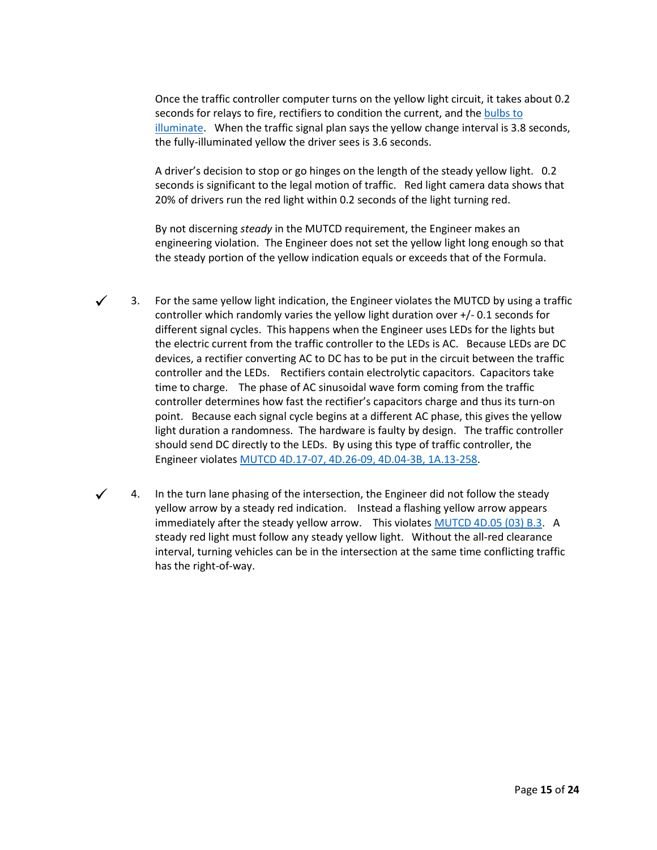Once the traffic controller computer turns on the yellow light circuit, it takes about 0.2 seconds for relays to fire, rectifiers to condition the current, and the [bulbs to](http://www.youtube.com/watch?v=JocjaCTbrTc)  [illuminate.](http://www.youtube.com/watch?v=JocjaCTbrTc) When the traffic signal plan says the yellow change interval is 3.8 seconds, the fully-illuminated yellow the driver sees is 3.6 seconds.

A driver's decision to stop or go hinges on the length of the steady yellow light. 0.2 seconds is significant to the legal motion of traffic. Red light camera data shows that 20% of drivers run the red light within 0.2 seconds of the light turning red.

By not discerning *steady* in the MUTCD requirement, the Engineer makes an engineering violation. The Engineer does not set the yellow light long enough so that the steady portion of the yellow indication equals or exceeds that of the Formula.

- $\checkmark$  3. For the same yellow light indication, the Engineer violates the MUTCD by using a traffic controller which randomly varies the yellow light duration over +/- 0.1 seconds for different signal cycles. This happens when the Engineer uses LEDs for the lights but the electric current from the traffic controller to the LEDs is AC. Because LEDs are DC devices, a rectifier converting AC to DC has to be put in the circuit between the traffic controller and the LEDs. Rectifiers contain electrolytic capacitors. Capacitors take time to charge. The phase of AC sinusoidal wave form coming from the traffic controller determines how fast the rectifier's capacitors charge and thus its turn-on point. Because each signal cycle begins at a different AC phase, this gives the yellow light duration a randomness. The hardware is faulty by design. The traffic controller should send DC directly to the LEDs. By using this type of traffic controller, the Engineer violate[s MUTCD 4D.17-07, 4D.26-09, 4D.04-3B, 1A.13-258.](http://redlightrobber.com/red/links_pdf/MUTCD-2009-Rev-2-2012.pdf)
- 4. In the turn lane phasing of the intersection, the Engineer did not follow the steady yellow arrow by a steady red indication. Instead a flashing yellow arrow appears immediately after the steady yellow arrow. This violates [MUTCD 4D.05 \(03\) B.3.](http://redlightrobber.com/red/links_pdf/MUTCD-2009-Rev-2-2012.pdf) A steady red light must follow any steady yellow light. Without the all-red clearance interval, turning vehicles can be in the intersection at the same time conflicting traffic has the right-of-way.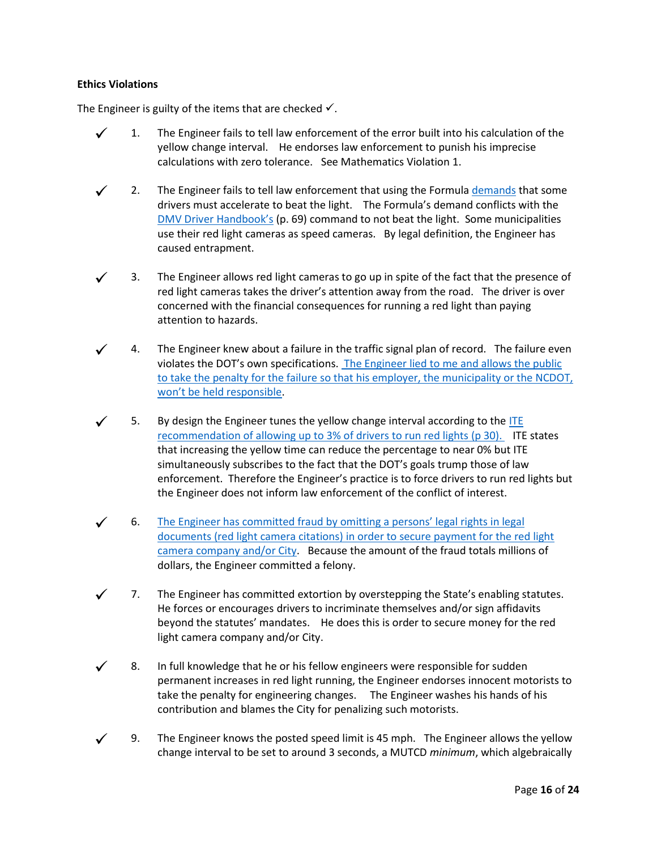### **Ethics Violations**

The Engineer is guilty of the items that are checked  $\checkmark$ .

- 1. The Engineer fails to tell law enforcement of the error built into his calculation of the yellow change interval. He endorses law enforcement to punish his imprecise calculations with zero tolerance. See Mathematics Violation 1.
- $\checkmark$  2. The Engineer fails to tell law enforcement that using the Formul[a demands](http://redlightrobber.com/red/links_pdf/Transportation-And-Traffic-Engineering-Handbook-1982.pdf) that some drivers must accelerate to beat the light. The Formula's demand conflicts with the DMV Driver [Handbook's](http://redlightrobber.com/red/links_pdf/NCDMV-Handbook-Beat-the-Light.pdf) (p. 69) command to not beat the light. Some municipalities use their red light cameras as speed cameras. By legal definition, the Engineer has caused entrapment.
- 3. The Engineer allows red light cameras to go up in spite of the fact that the presence of red light cameras takes the driver's attention away from the road. The driver is over concerned with the financial consequences for running a red light than paying attention to hazards.
- 4. The Engineer knew about a failure in the traffic signal plan of record. The failure even violates the DOT's own specifications. [The Engineer lied to me and allows the public](http://redlightrobber.com/red/links_pdf/Spencer-Speed-Limit-Mistake-at-Cary-Towne-Blvd.pdf)  [to take the penalty for the failure so that his employer, the municipality or the NCDOT,](http://redlightrobber.com/red/links_pdf/Spencer-Speed-Limit-Mistake-at-Cary-Towne-Blvd.pdf)  [won't be held r](http://redlightrobber.com/red/links_pdf/Spencer-Speed-Limit-Mistake-at-Cary-Towne-Blvd.pdf)esponsible.
- 5. By design the Engineer tunes the yellow change interval according to the [ITE](http://redlightrobber.com/red/links_pdf/ITE-Determining-Vehicle-Signal-Change-Intervals-1989.pdf)  [recommendation of allowing up to 3% of drivers to run red lights](http://redlightrobber.com/red/links_pdf/ITE-Determining-Vehicle-Signal-Change-Intervals-1989.pdf) (p 30). ITE states that increasing the yellow time can reduce the percentage to near 0% but ITE simultaneously subscribes to the fact that the DOT's goals trump those of law enforcement. Therefore the Engineer's practice is to force drivers to run red lights but the Engineer does not inform law enforcement of the conflict of interest.
- 6. [The Engineer has committed fraud by omitting a persons' legal rights in legal](http://redlightrobber.com/red/links_pdf/north-carolina/John-Sandor-Omission-to-Secure-Payment-Fraud-Red-Light-Camera-Raleigh.pdf)  [documents \(red light camera citations\) in order to secure payment for the red light](http://redlightrobber.com/red/links_pdf/north-carolina/John-Sandor-Omission-to-Secure-Payment-Fraud-Red-Light-Camera-Raleigh.pdf)  [camera company and/or City.](http://redlightrobber.com/red/links_pdf/north-carolina/John-Sandor-Omission-to-Secure-Payment-Fraud-Red-Light-Camera-Raleigh.pdf) Because the amount of the fraud totals millions of dollars, the Engineer committed a felony.
- 7. The Engineer has committed extortion by overstepping the State's enabling statutes. He forces or encourages drivers to incriminate themselves and/or sign affidavits beyond the statutes' mandates. He does this is order to secure money for the red light camera company and/or City.
- $\checkmark$  8. In full knowledge that he or his fellow engineers were responsible for sudden permanent increases in red light running, the Engineer endorses innocent motorists to take the penalty for engineering changes. The Engineer washes his hands of his contribution and blames the City for penalizing such motorists.
- 9. The Engineer knows the posted speed limit is 45 mph. The Engineer allows the yellow change interval to be set to around 3 seconds, a MUTCD *minimum*, which algebraically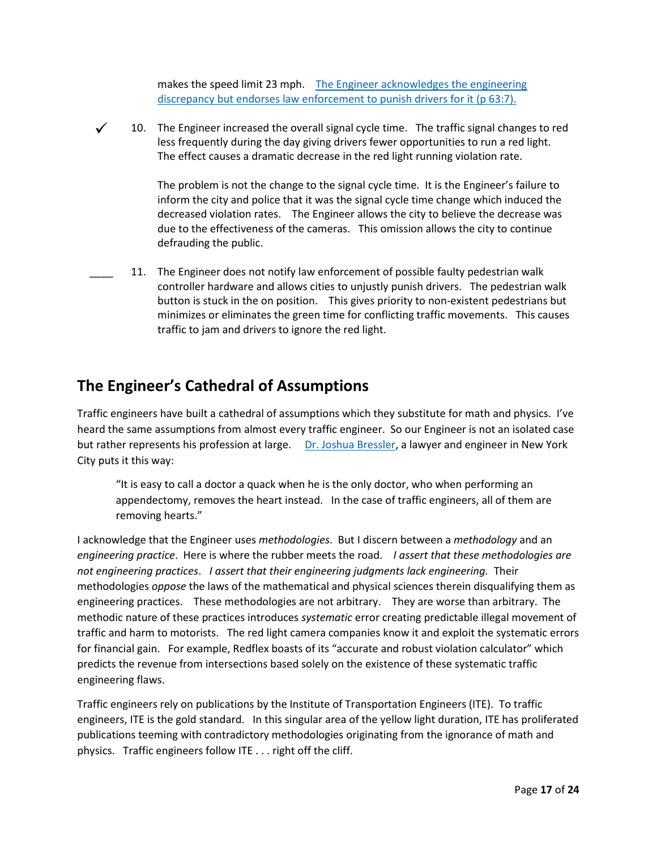makes the speed limit 23 mph. [The Engineer acknowledges the engineering](http://redlightrobber.com/red/links_pdf/north-carolina/Joseph-Hummer-Deposition-with-Errata-2012-10-17.pdf)  discrepancy but endorses [law enforcement to punish drivers for it](http://redlightrobber.com/red/links_pdf/north-carolina/Joseph-Hummer-Deposition-with-Errata-2012-10-17.pdf) (p 63:7).

 $\checkmark$  10. The Engineer increased the overall signal cycle time. The traffic signal changes to red less frequently during the day giving drivers fewer opportunities to run a red light. The effect causes a dramatic decrease in the red light running violation rate.

> The problem is not the change to the signal cycle time. It is the Engineer's failure to inform the city and police that it was the signal cycle time change which induced the decreased violation rates. The Engineer allows the city to believe the decrease was due to the effectiveness of the cameras. This omission allows the city to continue defrauding the public.

11. The Engineer does not notify law enforcement of possible faulty pedestrian walk controller hardware and allows cities to unjustly punish drivers. The pedestrian walk button is stuck in the on position. This gives priority to non-existent pedestrians but minimizes or eliminates the green time for conflicting traffic movements. This causes traffic to jam and drivers to ignore the red light.

# **The Engineer's Cathedral of Assumptions**

Traffic engineers have built a cathedral of assumptions which they substitute for math and physics. I've heard the same assumptions from almost every traffic engineer. So our Engineer is not an isolated case but rather represents his profession at large. [Dr. Joshua Bressler,](http://jrblaw.com/Bressler%20Law%20PLLC%20profile%20August%202011.pdf) a lawyer and engineer in New York City puts it this way:

"It is easy to call a doctor a quack when he is the only doctor, who when performing an appendectomy, removes the heart instead. In the case of traffic engineers, all of them are removing hearts."

I acknowledge that the Engineer uses *methodologies*. But I discern between a *methodology* and an *engineering practice*. Here is where the rubber meets the road. *I assert that these methodologies are not engineering practices*. *I assert that their engineering judgments lack engineering.* Their methodologies *oppose* the laws of the mathematical and physical sciences therein disqualifying them as engineering practices. These methodologies are not arbitrary. They are worse than arbitrary. The methodic nature of these practices introduces *systematic* error creating predictable illegal movement of traffic and harm to motorists. The red light camera companies know it and exploit the systematic errors for financial gain. For example, Redflex boasts of its "accurate and robust violation calculator" which predicts the revenue from intersections based solely on the existence of these systematic traffic engineering flaws.

Traffic engineers rely on publications by the Institute of Transportation Engineers (ITE). To traffic engineers, ITE is the gold standard. In this singular area of the yellow light duration, ITE has proliferated publications teeming with contradictory methodologies originating from the ignorance of math and physics. Traffic engineers follow ITE . . . right off the cliff.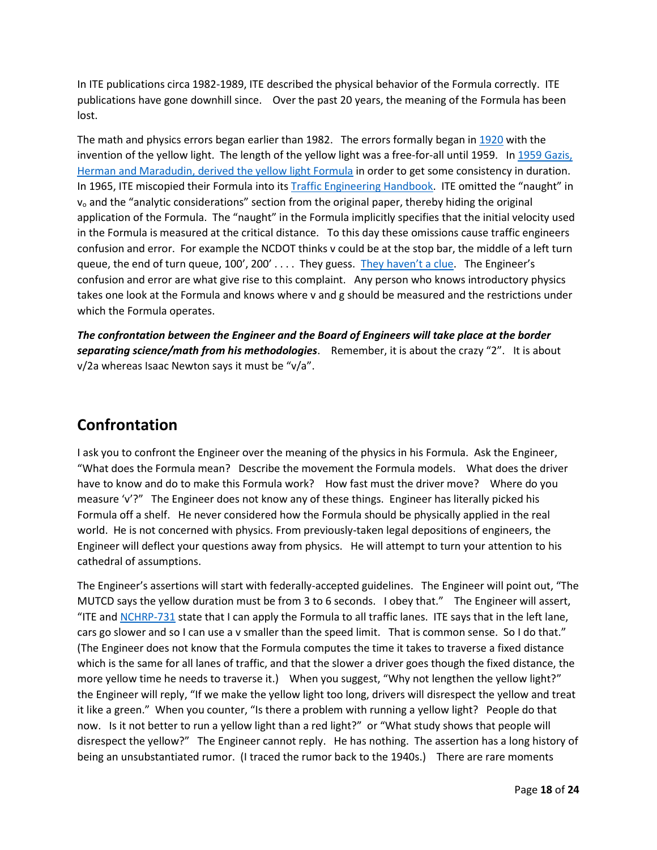In ITE publications circa 1982-1989, ITE described the physical behavior of the Formula correctly. ITE publications have gone downhill since. Over the past 20 years, the meaning of the Formula has been lost.

The math and physics errors began earlier than 1982. The errors formally began in [1920](http://en.wikipedia.org/wiki/William_Potts) with the invention of the yellow light. The length of the yellow light was a free-for-all until 1959. I[n 1959 Gazis,](http://redlightrobber.com/red/links_pdf/The-Problem-of-the-Amber-Signal-Light-in-Traffic-Flow.pdf)  [Herman and Maradudin, derived](http://redlightrobber.com/red/links_pdf/The-Problem-of-the-Amber-Signal-Light-in-Traffic-Flow.pdf) the yellow light Formula in order to get some consistency in duration. In 1965, ITE miscopied their Formula into its [Traffic Engineering Handbook.](http://redlightrobber.com/red/links_pdf/Traffic-Engineering-Handbook-1965-3rd-Edition.pdf) ITE omitted the "naught" in  $v<sub>o</sub>$  and the "analytic considerations" section from the original paper, thereby hiding the original application of the Formula. The "naught" in the Formula implicitly specifies that the initial velocity used in the Formula is measured at the critical distance. To this day these omissions cause traffic engineers confusion and error. For example the NCDOT thinks v could be at the stop bar, the middle of a left turn queue, the end of turn queue, 100', 200' . . . . They guess. [They haven't a clue](http://redlightrobber.com/red/links_pdf/NCSITE-Task-Force-Records-for-NCDOT-Change-Clearance-Intervals.pdf). The Engineer's confusion and error are what give rise to this complaint. Any person who knows introductory physics takes one look at the Formula and knows where v and g should be measured and the restrictions under which the Formula operates.

*The confrontation between the Engineer and the Board of Engineers will take place at the border separating science/math from his methodologies*. Remember, it is about the crazy "2". It is about v/2a whereas Isaac Newton says it must be "v/a".

# **Confrontation**

I ask you to confront the Engineer over the meaning of the physics in his Formula. Ask the Engineer, "What does the Formula mean? Describe the movement the Formula models. What does the driver have to know and do to make this Formula work? How fast must the driver move? Where do you measure 'v'?" The Engineer does not know any of these things. Engineer has literally picked his Formula off a shelf. He never considered how the Formula should be physically applied in the real world. He is not concerned with physics. From previously-taken legal depositions of engineers, the Engineer will deflect your questions away from physics. He will attempt to turn your attention to his cathedral of assumptions.

The Engineer's assertions will start with federally-accepted guidelines. The Engineer will point out, "The MUTCD says the yellow duration must be from 3 to 6 seconds. I obey that." The Engineer will assert, "ITE and [NCHRP-731](http://redlightrobber.com/red/links_pdf/north-carolina/NCHRP-Guidelines-for-Timing-nchrp_rpt_731.pdf) state that I can apply the Formula to all traffic lanes. ITE says that in the left lane, cars go slower and so I can use a v smaller than the speed limit. That is common sense. So I do that." (The Engineer does not know that the Formula computes the time it takes to traverse a fixed distance which is the same for all lanes of traffic, and that the slower a driver goes though the fixed distance, the more yellow time he needs to traverse it.) When you suggest, "Why not lengthen the yellow light?" the Engineer will reply, "If we make the yellow light too long, drivers will disrespect the yellow and treat it like a green." When you counter, "Is there a problem with running a yellow light? People do that now. Is it not better to run a yellow light than a red light?" or "What study shows that people will disrespect the yellow?" The Engineer cannot reply. He has nothing. The assertion has a long history of being an unsubstantiated rumor. (I traced the rumor back to the 1940s.) There are rare moments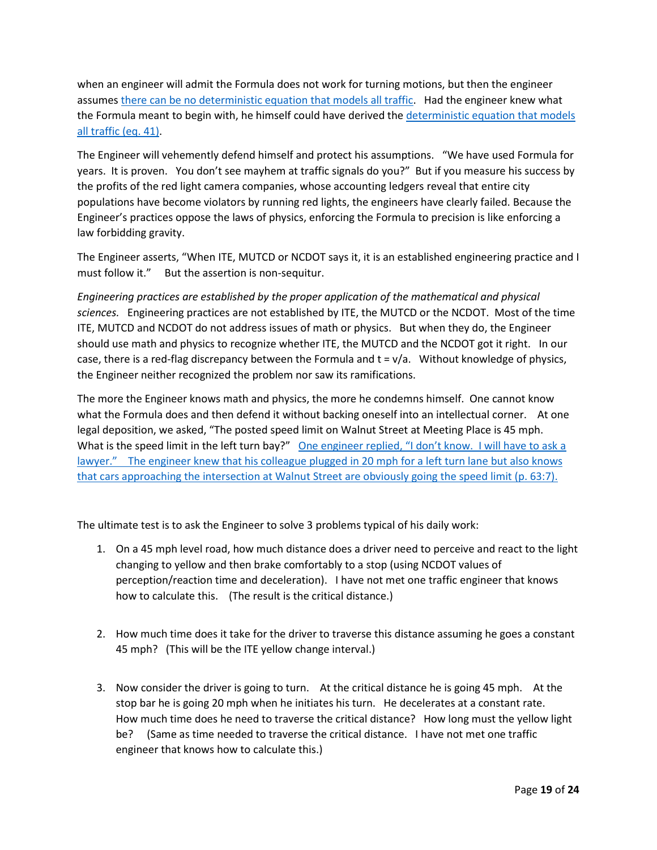when an engineer will admit the Formula does not work for turning motions, but then the engineer assume[s there can be no deterministic equation that models all traffic.](http://redlightrobber.com/red/links_pdf/north-carolina/NCDOT-Response-To-ABC11-Maradudin.pdf) Had the engineer knew what the Formula meant to begin with, he himself could have derived th[e deterministic equation that models](http://redlightrobber.com/red/links_pdf/Yellow-Light-Duration-Derivation.pdf)  [all traffic \(eq. 41\).](http://redlightrobber.com/red/links_pdf/Yellow-Light-Duration-Derivation.pdf)

The Engineer will vehemently defend himself and protect his assumptions. "We have used Formula for years. It is proven. You don't see mayhem at traffic signals do you?" But if you measure his success by the profits of the red light camera companies, whose accounting ledgers reveal that entire city populations have become violators by running red lights, the engineers have clearly failed. Because the Engineer's practices oppose the laws of physics, enforcing the Formula to precision is like enforcing a law forbidding gravity.

The Engineer asserts, "When ITE, MUTCD or NCDOT says it, it is an established engineering practice and I must follow it." But the assertion is non-sequitur.

*Engineering practices are established by the proper application of the mathematical and physical sciences.* Engineering practices are not established by ITE, the MUTCD or the NCDOT. Most of the time ITE, MUTCD and NCDOT do not address issues of math or physics. But when they do, the Engineer should use math and physics to recognize whether ITE, the MUTCD and the NCDOT got it right. In our case, there is a red-flag discrepancy between the Formula and  $t = v/a$ . Without knowledge of physics, the Engineer neither recognized the problem nor saw its ramifications.

The more the Engineer knows math and physics, the more he condemns himself. One cannot know what the Formula does and then defend it without backing oneself into an intellectual corner. At one legal deposition, we asked, "The posted speed limit on Walnut Street at Meeting Place is 45 mph. What is the speed limit in the left turn bay?" One engineer replied, "I don't know. I will have to ask a lawyer." The engineer knew that his colleague [plugged in 20 mph for a left turn lane but also knows](http://redlightrobber.com/red/links_pdf/north-carolina/Joseph-Hummer-Deposition-with-Errata-2012-10-17.pdf) that cars approaching the intersection at Walnut Street are obviously going the speed limit (p. 63:7).

The ultimate test is to ask the Engineer to solve 3 problems typical of his daily work:

- 1. On a 45 mph level road, how much distance does a driver need to perceive and react to the light changing to yellow and then brake comfortably to a stop (using NCDOT values of perception/reaction time and deceleration). I have not met one traffic engineer that knows how to calculate this. (The result is the critical distance.)
- 2. How much time does it take for the driver to traverse this distance assuming he goes a constant 45 mph? (This will be the ITE yellow change interval.)
- 3. Now consider the driver is going to turn. At the critical distance he is going 45 mph. At the stop bar he is going 20 mph when he initiates his turn. He decelerates at a constant rate. How much time does he need to traverse the critical distance? How long must the yellow light be? (Same as time needed to traverse the critical distance. I have not met one traffic engineer that knows how to calculate this.)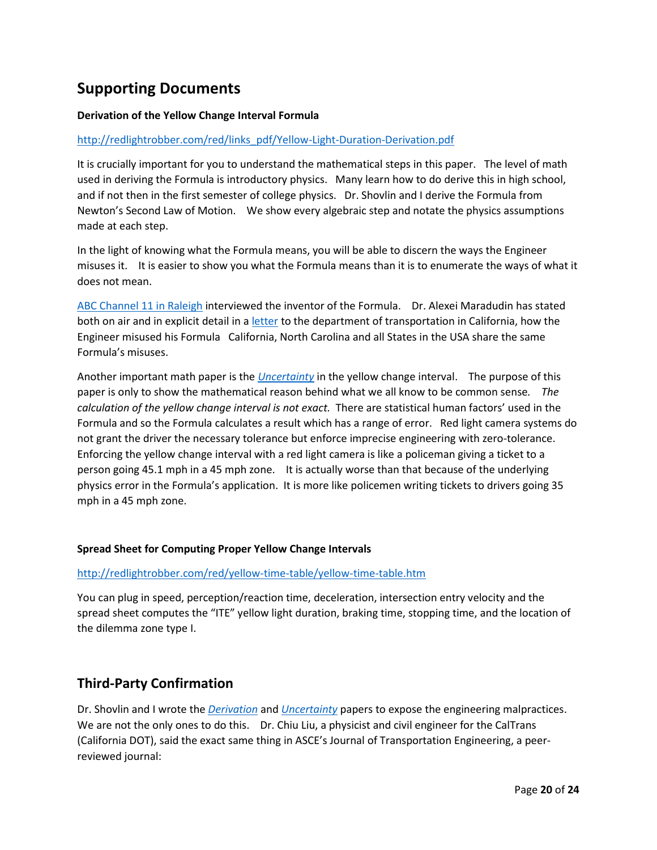# **Supporting Documents**

### **Derivation of the Yellow Change Interval Formula**

#### [http://redlightrobber.com/red/links\\_pdf/Yellow-Light-Duration-Derivation.pdf](http://redlightrobber.com/red/links_pdf/Yellow-Light-Duration-Derivation.pdf)

It is crucially important for you to understand the mathematical steps in this paper. The level of math used in deriving the Formula is introductory physics. Many learn how to do derive this in high school, and if not then in the first semester of college physics. Dr. Shovlin and I derive the Formula from Newton's Second Law of Motion. We show every algebraic step and notate the physics assumptions made at each step.

In the light of knowing what the Formula means, you will be able to discern the ways the Engineer misuses it. It is easier to show you what the Formula means than it is to enumerate the ways of what it does not mean.

[ABC Channel 11 in Raleigh](http://abc11.com/traffic/i-team-are-yellow-lights-too-short/46296/) interviewed the inventor of the Formula. Dr. Alexei Maradudin has stated both on air and in explicit detail in [a letter](http://redlightrobber.com/red/links_pdf/Yellow-Change-Interval-Dos-and-Donts-Alexei-Maradudin.pdf) to the department of transportation in California, how the Engineer misused his Formula California, North Carolina and all States in the USA share the same Formula's misuses.

Another important math paper is the *[Uncertainty](http://redlightrobber.com/red/links_pdf/Uncertainty-in-the-Yellow-Change-Interval.pdf)* in the yellow change interval. The purpose of this paper is only to show the mathematical reason behind what we all know to be common sense*. The calculation of the yellow change interval is not exact.* There are statistical human factors' used in the Formula and so the Formula calculates a result which has a range of error. Red light camera systems do not grant the driver the necessary tolerance but enforce imprecise engineering with zero-tolerance. Enforcing the yellow change interval with a red light camera is like a policeman giving a ticket to a person going 45.1 mph in a 45 mph zone. It is actually worse than that because of the underlying physics error in the Formula's application. It is more like policemen writing tickets to drivers going 35 mph in a 45 mph zone.

#### **Spread Sheet for Computing Proper Yellow Change Intervals**

#### <http://redlightrobber.com/red/yellow-time-table/yellow-time-table.htm>

You can plug in speed, perception/reaction time, deceleration, intersection entry velocity and the spread sheet computes the "ITE" yellow light duration, braking time, stopping time, and the location of the dilemma zone type I.

## **Third-Party Confirmation**

Dr. Shovlin and I wrote the *[Derivation](http://redlightrobber.com/red/links_pdf/Yellow-Light-Duration-Derivation.pdf)* and *[Uncertainty](http://redlightrobber.com/red/links_pdf/Uncertainty-in-the-Yellow-Change-Interval.pdf)* papers to expose the engineering malpractices. We are not the only ones to do this. Dr. Chiu Liu, a physicist and civil engineer for the CalTrans (California DOT), said the exact same thing in ASCE's Journal of Transportation Engineering, a peerreviewed journal: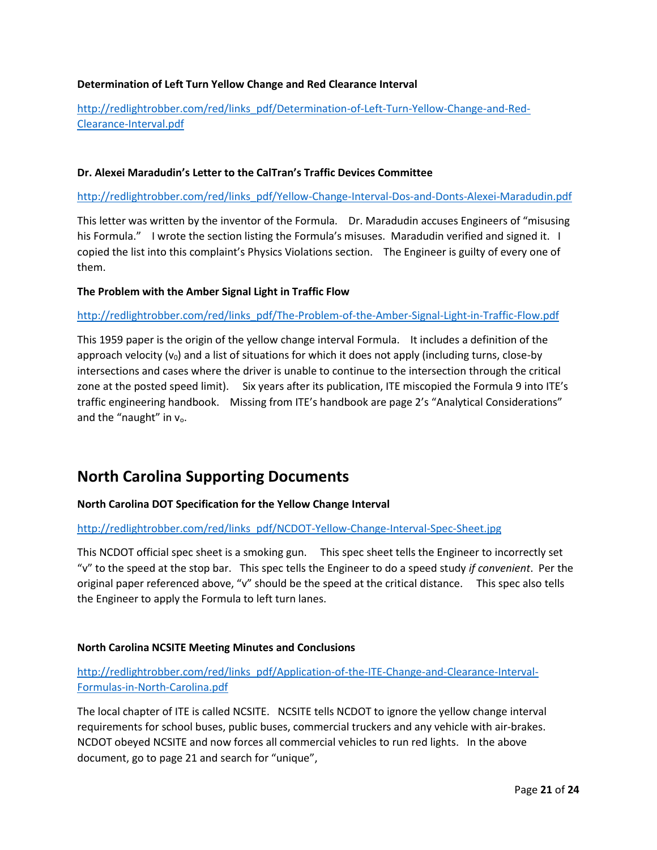### **Determination of Left Turn Yellow Change and Red Clearance Interval**

[http://redlightrobber.com/red/links\\_pdf/Determination-of-Left-Turn-Yellow-Change-and-Red-](http://redlightrobber.com/red/links_pdf/Determination-of-Left-Turn-Yellow-Change-and-Red-Clearance-Interval.pdf)[Clearance-Interval.pdf](http://redlightrobber.com/red/links_pdf/Determination-of-Left-Turn-Yellow-Change-and-Red-Clearance-Interval.pdf)

#### **Dr. Alexei Maradudin's Letter to the CalTran's Traffic Devices Committee**

[http://redlightrobber.com/red/links\\_pdf/Yellow-Change-Interval-Dos-and-Donts-Alexei-Maradudin.pdf](http://redlightrobber.com/red/links_pdf/Yellow-Change-Interval-Dos-and-Donts-Alexei-Maradudin.pdf)

This letter was written by the inventor of the Formula. Dr. Maradudin accuses Engineers of "misusing his Formula." I wrote the section listing the Formula's misuses. Maradudin verified and signed it. I copied the list into this complaint's Physics Violations section. The Engineer is guilty of every one of them.

#### **The Problem with the Amber Signal Light in Traffic Flow**

#### [http://redlightrobber.com/red/links\\_pdf/The-Problem-of-the-Amber-Signal-Light-in-Traffic-Flow.pdf](http://redlightrobber.com/red/links_pdf/The-Problem-of-the-Amber-Signal-Light-in-Traffic-Flow.pdf)

This 1959 paper is the origin of the yellow change interval Formula. It includes a definition of the approach velocity ( $v_0$ ) and a list of situations for which it does not apply (including turns, close-by intersections and cases where the driver is unable to continue to the intersection through the critical zone at the posted speed limit). Six years after its publication, ITE miscopied the Formula 9 into ITE's traffic engineering handbook. Missing from ITE's handbook are page 2's "Analytical Considerations" and the "naught" in  $v_0$ .

## **North Carolina Supporting Documents**

#### **North Carolina DOT Specification for the Yellow Change Interval**

#### [http://redlightrobber.com/red/links\\_pdf/NCDOT-Yellow-Change-Interval-Spec-Sheet.jpg](http://redlightrobber.com/red/links_pdf/NCDOT-Yellow-Change-Interval-Spec-Sheet.jpg)

This NCDOT official spec sheet is a smoking gun. This spec sheet tells the Engineer to incorrectly set "v" to the speed at the stop bar. This spec tells the Engineer to do a speed study *if convenient*. Per the original paper referenced above, "v" should be the speed at the critical distance. This spec also tells the Engineer to apply the Formula to left turn lanes.

#### **North Carolina NCSITE Meeting Minutes and Conclusions**

### [http://redlightrobber.com/red/links\\_pdf/Application-of-the-ITE-Change-and-Clearance-Interval-](http://redlightrobber.com/red/links_pdf/Application-of-the-ITE-Change-and-Clearance-Interval-Formulas-in-North-Carolina.pdf)[Formulas-in-North-Carolina.pdf](http://redlightrobber.com/red/links_pdf/Application-of-the-ITE-Change-and-Clearance-Interval-Formulas-in-North-Carolina.pdf)

The local chapter of ITE is called NCSITE. NCSITE tells NCDOT to ignore the yellow change interval requirements for school buses, public buses, commercial truckers and any vehicle with air-brakes. NCDOT obeyed NCSITE and now forces all commercial vehicles to run red lights. In the above document, go to page 21 and search for "unique",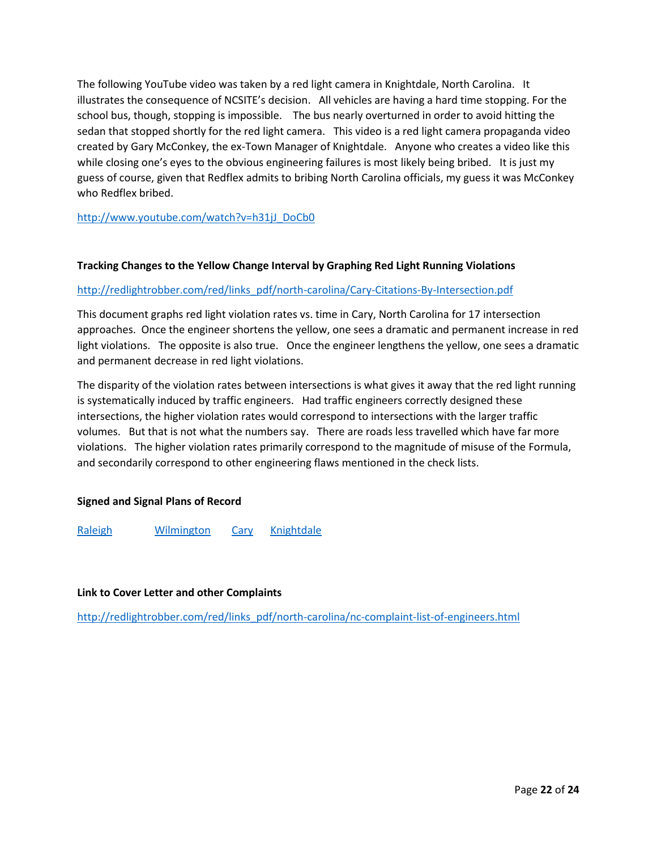The following YouTube video was taken by a red light camera in Knightdale, North Carolina. It illustrates the consequence of NCSITE's decision. All vehicles are having a hard time stopping. For the school bus, though, stopping is impossible. The bus nearly overturned in order to avoid hitting the sedan that stopped shortly for the red light camera. This video is a red light camera propaganda video created by Gary McConkey, the ex-Town Manager of Knightdale. Anyone who creates a video like this while closing one's eyes to the obvious engineering failures is most likely being bribed. It is just my guess of course, given that Redflex admits to bribing North Carolina officials, my guess it was McConkey who Redflex bribed.

[http://www.youtube.com/watch?v=h31jJ\\_DoCb0](http://www.youtube.com/watch?v=h31jJ_DoCb0)

#### **Tracking Changes to the Yellow Change Interval by Graphing Red Light Running Violations**

#### [http://redlightrobber.com/red/links\\_pdf/north-carolina/Cary-Citations-By-Intersection.pdf](http://redlightrobber.com/red/links_pdf/north-carolina/Cary-Citations-By-Intersection.pdf)

This document graphs red light violation rates vs. time in Cary, North Carolina for 17 intersection approaches. Once the engineer shortens the yellow, one sees a dramatic and permanent increase in red light violations. The opposite is also true. Once the engineer lengthens the yellow, one sees a dramatic and permanent decrease in red light violations.

The disparity of the violation rates between intersections is what gives it away that the red light running is systematically induced by traffic engineers. Had traffic engineers correctly designed these intersections, the higher violation rates would correspond to intersections with the larger traffic volumes. But that is not what the numbers say. There are roads less travelled which have far more violations. The higher violation rates primarily correspond to the magnitude of misuse of the Formula, and secondarily correspond to other engineering flaws mentioned in the check lists.

### **Signed and Signal Plans of Record**

[Raleigh](http://redlightrobber.com/red/links_pdf/Raleigh-Traffic-Signal-Plans-2011-06-09.zip) [Wilmington](http://redlightrobber.com/red/links_pdf/north-carolina/Wilmington-Traffic-Signal-Plans-2013-12.zip) [Cary](http://redlightrobber.com/red/links_pdf/RLCSignalPlans.pdf) [Knightdale](http://redlightrobber.com/red/links_pdf/Knightdale-Traffic-Signal-Plans-2012-10-29.zip)

### **Link to Cover Letter and other Complaints**

[http://redlightrobber.com/red/links\\_pdf/north-carolina/nc-complaint-list-of-engineers.html](http://redlightrobber.com/red/links_pdf/north-carolina/nc-complaint-list-of-engineers.html)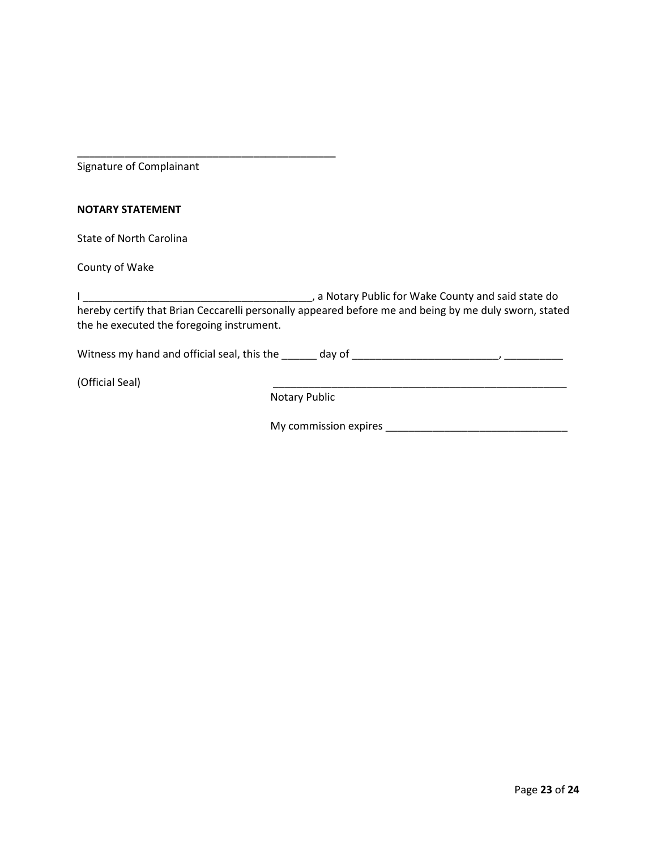Signature of Complainant

\_\_\_\_\_\_\_\_\_\_\_\_\_\_\_\_\_\_\_\_\_\_\_\_\_\_\_\_\_\_\_\_\_\_\_\_\_\_\_\_\_\_\_\_

#### **NOTARY STATEMENT**

State of North Carolina

County of Wake

I \_\_\_\_\_\_\_\_\_\_\_\_\_\_\_\_\_\_\_\_\_\_\_\_\_\_\_\_\_\_\_\_\_\_\_\_\_\_\_, a Notary Public for Wake County and said state do hereby certify that Brian Ceccarelli personally appeared before me and being by me duly sworn, stated the he executed the foregoing instrument.

Witness my hand and official seal, this the \_\_\_\_\_\_ day of \_\_\_\_\_\_\_\_\_\_\_\_\_\_\_\_\_\_\_\_\_\_\_\_\_, \_\_\_\_\_\_\_\_\_\_

(Official Seal) \_\_\_\_\_\_\_\_\_\_\_\_\_\_\_\_\_\_\_\_\_\_\_\_\_\_\_\_\_\_\_\_\_\_\_\_\_\_\_\_\_\_\_\_\_\_\_\_\_\_

Notary Public

My commission expires \_\_\_\_\_\_\_\_\_\_\_\_\_\_\_\_\_\_\_\_\_\_\_\_\_\_\_\_\_\_\_